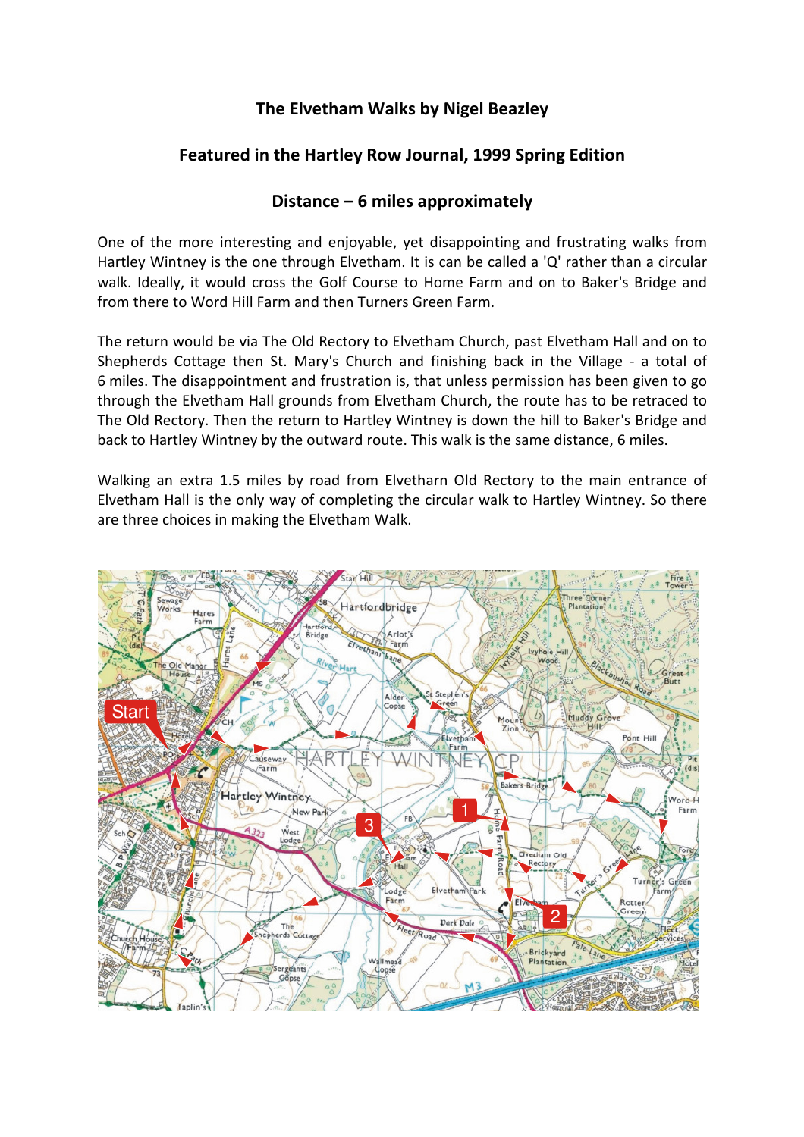## The Elvetham Walks by Nigel Beazley

## Featured in the Hartley Row Journal, 1999 Spring Edition

## Distance – 6 miles approximately

One of the more interesting and enjoyable, yet disappointing and frustrating walks from Hartley Wintney is the one through Elvetham. It is can be called a 'Q' rather than a circular walk. Ideally, it would cross the Golf Course to Home Farm and on to Baker's Bridge and from there to Word Hill Farm and then Turners Green Farm.

The return would be via The Old Rectory to Elvetham Church, past Elvetham Hall and on to Shepherds Cottage then St. Mary's Church and finishing back in the Village - a total of 6 miles. The disappointment and frustration is, that unless permission has been given to go through the Elvetham Hall grounds from Elvetham Church, the route has to be retraced to The Old Rectory. Then the return to Hartley Wintney is down the hill to Baker's Bridge and back to Hartley Wintney by the outward route. This walk is the same distance, 6 miles.

Walking an extra 1.5 miles by road from Elvetharn Old Rectory to the main entrance of Elvetham Hall is the only way of completing the circular walk to Hartley Wintney. So there are three choices in making the Elvetham Walk.

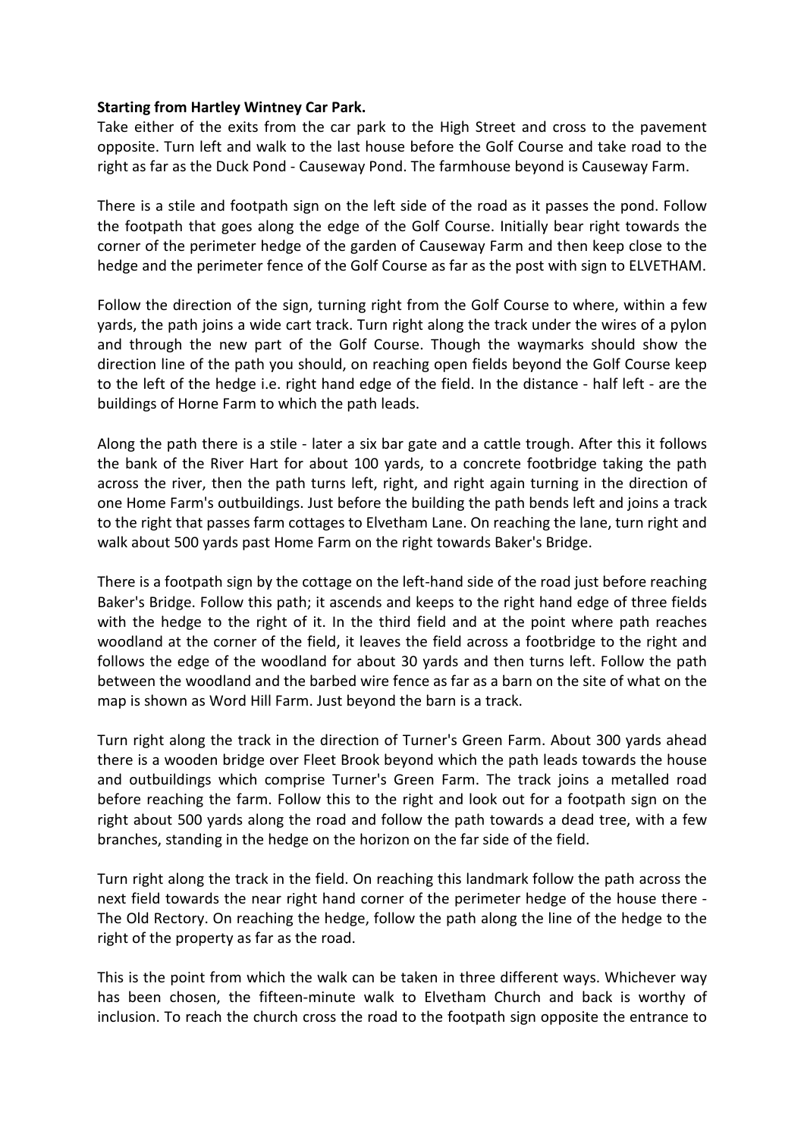## Starting from Hartley Wintney Car Park.

Take either of the exits from the car park to the High Street and cross to the pavement opposite. Turn left and walk to the last house before the Golf Course and take road to the right as far as the Duck Pond - Causeway Pond. The farmhouse beyond is Causeway Farm.

There is a stile and footpath sign on the left side of the road as it passes the pond. Follow the footpath that goes along the edge of the Golf Course. Initially bear right towards the corner of the perimeter hedge of the garden of Causeway Farm and then keep close to the hedge and the perimeter fence of the Golf Course as far as the post with sign to ELVETHAM.

Follow the direction of the sign, turning right from the Golf Course to where, within a few yards, the path joins a wide cart track. Turn right along the track under the wires of a pylon and through the new part of the Golf Course. Though the waymarks should show the direction line of the path you should, on reaching open fields beyond the Golf Course keep to the left of the hedge i.e. right hand edge of the field. In the distance - half left - are the buildings of Horne Farm to which the path leads.

Along the path there is a stile - later a six bar gate and a cattle trough. After this it follows the bank of the River Hart for about 100 yards, to a concrete footbridge taking the path across the river, then the path turns left, right, and right again turning in the direction of one Home Farm's outbuildings. Just before the building the path bends left and joins a track to the right that passes farm cottages to Elvetham Lane. On reaching the lane, turn right and walk about 500 yards past Home Farm on the right towards Baker's Bridge.

There is a footpath sign by the cottage on the left-hand side of the road just before reaching Baker's Bridge. Follow this path; it ascends and keeps to the right hand edge of three fields with the hedge to the right of it. In the third field and at the point where path reaches woodland at the corner of the field, it leaves the field across a footbridge to the right and follows the edge of the woodland for about 30 yards and then turns left. Follow the path between the woodland and the barbed wire fence as far as a barn on the site of what on the map is shown as Word Hill Farm. Just beyond the barn is a track.

Turn right along the track in the direction of Turner's Green Farm. About 300 yards ahead there is a wooden bridge over Fleet Brook beyond which the path leads towards the house and outbuildings which comprise Turner's Green Farm. The track joins a metalled road before reaching the farm. Follow this to the right and look out for a footpath sign on the right about 500 yards along the road and follow the path towards a dead tree, with a few branches, standing in the hedge on the horizon on the far side of the field.

Turn right along the track in the field. On reaching this landmark follow the path across the next field towards the near right hand corner of the perimeter hedge of the house there - The Old Rectory. On reaching the hedge, follow the path along the line of the hedge to the right of the property as far as the road.

This is the point from which the walk can be taken in three different ways. Whichever way has been chosen, the fifteen-minute walk to Elvetham Church and back is worthy of inclusion. To reach the church cross the road to the footpath sign opposite the entrance to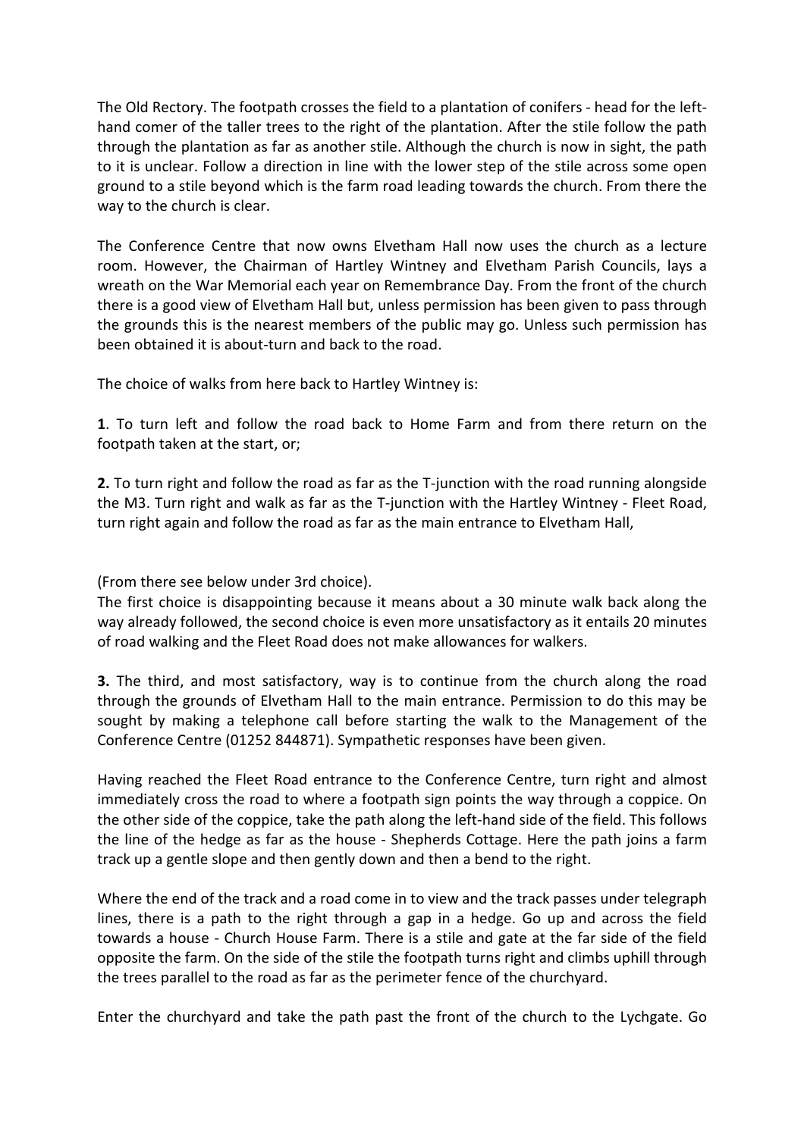The Old Rectory. The footpath crosses the field to a plantation of conifers - head for the lefthand comer of the taller trees to the right of the plantation. After the stile follow the path through the plantation as far as another stile. Although the church is now in sight, the path to it is unclear. Follow a direction in line with the lower step of the stile across some open ground to a stile beyond which is the farm road leading towards the church. From there the way to the church is clear.

The Conference Centre that now owns Elvetham Hall now uses the church as a lecture room. However, the Chairman of Hartley Wintney and Elvetham Parish Councils, lays a wreath on the War Memorial each year on Remembrance Day. From the front of the church there is a good view of Elvetham Hall but, unless permission has been given to pass through the grounds this is the nearest members of the public may go. Unless such permission has been obtained it is about-turn and back to the road.

The choice of walks from here back to Hartley Wintney is:

1. To turn left and follow the road back to Home Farm and from there return on the footpath taken at the start, or;

2. To turn right and follow the road as far as the T-junction with the road running alongside the M3. Turn right and walk as far as the T-junction with the Hartley Wintney - Fleet Road, turn right again and follow the road as far as the main entrance to Elvetham Hall,

(From there see below under 3rd choice).

The first choice is disappointing because it means about a 30 minute walk back along the way already followed, the second choice is even more unsatisfactory as it entails 20 minutes of road walking and the Fleet Road does not make allowances for walkers.

3. The third, and most satisfactory, way is to continue from the church along the road through the grounds of Elvetham Hall to the main entrance. Permission to do this may be sought by making a telephone call before starting the walk to the Management of the Conference Centre (01252 844871). Sympathetic responses have been given.

Having reached the Fleet Road entrance to the Conference Centre, turn right and almost immediately cross the road to where a footpath sign points the way through a coppice. On the other side of the coppice, take the path along the left-hand side of the field. This follows the line of the hedge as far as the house - Shepherds Cottage. Here the path joins a farm track up a gentle slope and then gently down and then a bend to the right.

Where the end of the track and a road come in to view and the track passes under telegraph lines, there is a path to the right through a gap in a hedge. Go up and across the field towards a house - Church House Farm. There is a stile and gate at the far side of the field opposite the farm. On the side of the stile the footpath turns right and climbs uphill through the trees parallel to the road as far as the perimeter fence of the churchyard.

Enter the churchyard and take the path past the front of the church to the Lychgate. Go